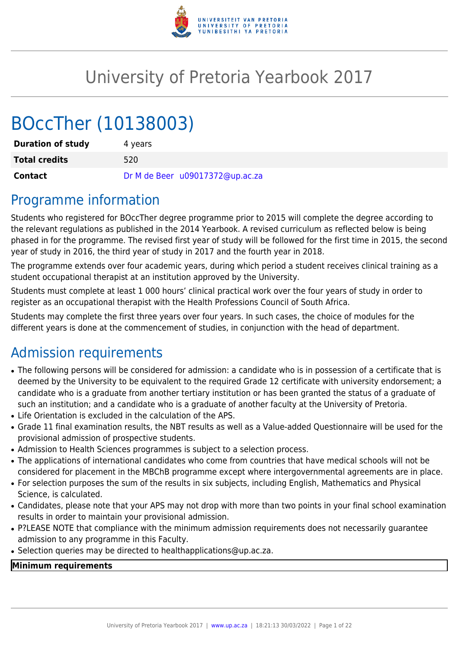

# University of Pretoria Yearbook 2017

# BOccTher (10138003)

| <b>Duration of study</b> | 4 vears                         |
|--------------------------|---------------------------------|
| <b>Total credits</b>     | 520                             |
| <b>Contact</b>           | Dr M de Beer u09017372@up.ac.za |

## Programme information

Students who registered for BOccTher degree programme prior to 2015 will complete the degree according to the relevant regulations as published in the 2014 Yearbook. A revised curriculum as reflected below is being phased in for the programme. The revised first year of study will be followed for the first time in 2015, the second year of study in 2016, the third year of study in 2017 and the fourth year in 2018.

The programme extends over four academic years, during which period a student receives clinical training as a student occupational therapist at an institution approved by the University.

Students must complete at least 1 000 hours' clinical practical work over the four years of study in order to register as an occupational therapist with the Health Professions Council of South Africa.

Students may complete the first three years over four years. In such cases, the choice of modules for the different years is done at the commencement of studies, in conjunction with the head of department.

## Admission requirements

- The following persons will be considered for admission: a candidate who is in possession of a certificate that is deemed by the University to be equivalent to the required Grade 12 certificate with university endorsement; a candidate who is a graduate from another tertiary institution or has been granted the status of a graduate of such an institution; and a candidate who is a graduate of another faculty at the University of Pretoria.
- Life Orientation is excluded in the calculation of the APS.
- Grade 11 final examination results, the NBT results as well as a Value-added Questionnaire will be used for the provisional admission of prospective students.
- Admission to Health Sciences programmes is subject to a selection process.
- The applications of international candidates who come from countries that have medical schools will not be considered for placement in the MBChB programme except where intergovernmental agreements are in place.
- For selection purposes the sum of the results in six subjects, including English, Mathematics and Physical Science, is calculated.
- Candidates, please note that your APS may not drop with more than two points in your final school examination results in order to maintain your provisional admission.
- P?LEASE NOTE that compliance with the minimum admission requirements does not necessarily quarantee admission to any programme in this Faculty.
- Selection queries may be directed to healthapplications@up.ac.za.

## **Minimum requirements**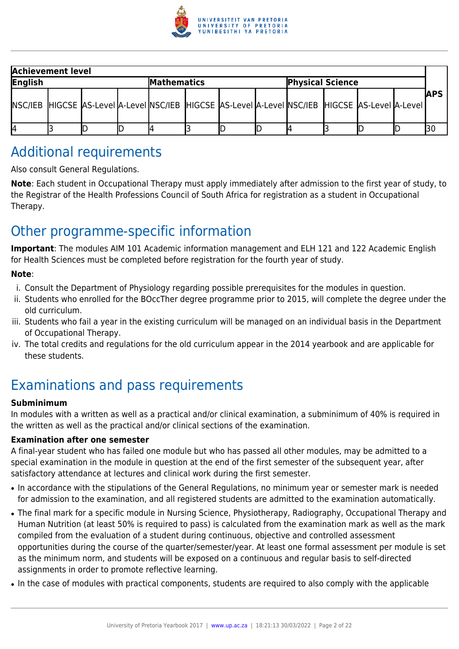

| <b>Achievement level</b> |  |  |  |             |  |  |                                                                                                             |  |             |
|--------------------------|--|--|--|-------------|--|--|-------------------------------------------------------------------------------------------------------------|--|-------------|
| English                  |  |  |  | Mathematics |  |  | <b>Physical Science</b>                                                                                     |  |             |
|                          |  |  |  |             |  |  | [NSC/IEB] HIGCSE [AS-Level ]A-Level ]NSC/IEB [HIGCSE ]AS-Level ]A-Level ]NSC/IEB [HIGCSE ]AS-Level ]A-Level |  | <b>IAPS</b> |
| 14                       |  |  |  |             |  |  |                                                                                                             |  |             |

## Additional requirements

Also consult General Regulations.

**Note**: Each student in Occupational Therapy must apply immediately after admission to the first year of study, to the Registrar of the Health Professions Council of South Africa for registration as a student in Occupational Therapy.

## Other programme-specific information

**Important**: The modules AIM 101 Academic information management and ELH 121 and 122 Academic English for Health Sciences must be completed before registration for the fourth year of study.

## **Note**:

- i. Consult the Department of Physiology regarding possible prerequisites for the modules in question.
- ii. Students who enrolled for the BOccTher degree programme prior to 2015, will complete the degree under the old curriculum.
- iii. Students who fail a year in the existing curriculum will be managed on an individual basis in the Department of Occupational Therapy.
- iv. The total credits and regulations for the old curriculum appear in the 2014 yearbook and are applicable for these students.

## Examinations and pass requirements

## **Subminimum**

In modules with a written as well as a practical and/or clinical examination, a subminimum of 40% is required in the written as well as the practical and/or clinical sections of the examination.

## **Examination after one semester**

A final-year student who has failed one module but who has passed all other modules, may be admitted to a special examination in the module in question at the end of the first semester of the subsequent year, after satisfactory attendance at lectures and clinical work during the first semester.

- In accordance with the stipulations of the General Regulations, no minimum year or semester mark is needed for admission to the examination, and all registered students are admitted to the examination automatically.
- The final mark for a specific module in Nursing Science, Physiotherapy, Radiography, Occupational Therapy and Human Nutrition (at least 50% is required to pass) is calculated from the examination mark as well as the mark compiled from the evaluation of a student during continuous, objective and controlled assessment opportunities during the course of the quarter/semester/year. At least one formal assessment per module is set as the minimum norm, and students will be exposed on a continuous and regular basis to self-directed assignments in order to promote reflective learning.
- In the case of modules with practical components, students are required to also comply with the applicable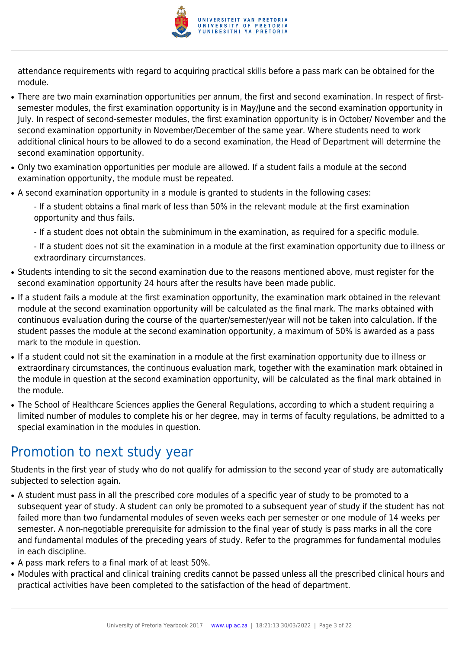

attendance requirements with regard to acquiring practical skills before a pass mark can be obtained for the module.

- There are two main examination opportunities per annum, the first and second examination. In respect of firstsemester modules, the first examination opportunity is in May/June and the second examination opportunity in July. In respect of second-semester modules, the first examination opportunity is in October/ November and the second examination opportunity in November/December of the same year. Where students need to work additional clinical hours to be allowed to do a second examination, the Head of Department will determine the second examination opportunity.
- Only two examination opportunities per module are allowed. If a student fails a module at the second examination opportunity, the module must be repeated.
- A second examination opportunity in a module is granted to students in the following cases:
	- If a student obtains a final mark of less than 50% in the relevant module at the first examination opportunity and thus fails.
	- If a student does not obtain the subminimum in the examination, as required for a specific module.

- If a student does not sit the examination in a module at the first examination opportunity due to illness or extraordinary circumstances.

- Students intending to sit the second examination due to the reasons mentioned above, must register for the second examination opportunity 24 hours after the results have been made public.
- If a student fails a module at the first examination opportunity, the examination mark obtained in the relevant module at the second examination opportunity will be calculated as the final mark. The marks obtained with continuous evaluation during the course of the quarter/semester/year will not be taken into calculation. If the student passes the module at the second examination opportunity, a maximum of 50% is awarded as a pass mark to the module in question.
- If a student could not sit the examination in a module at the first examination opportunity due to illness or extraordinary circumstances, the continuous evaluation mark, together with the examination mark obtained in the module in question at the second examination opportunity, will be calculated as the final mark obtained in the module.
- The School of Healthcare Sciences applies the General Regulations, according to which a student requiring a limited number of modules to complete his or her degree, may in terms of faculty regulations, be admitted to a special examination in the modules in question.

## Promotion to next study year

Students in the first year of study who do not qualify for admission to the second year of study are automatically subjected to selection again.

- A student must pass in all the prescribed core modules of a specific year of study to be promoted to a subsequent year of study. A student can only be promoted to a subsequent year of study if the student has not failed more than two fundamental modules of seven weeks each per semester or one module of 14 weeks per semester. A non-negotiable prerequisite for admission to the final year of study is pass marks in all the core and fundamental modules of the preceding years of study. Refer to the programmes for fundamental modules in each discipline.
- A pass mark refers to a final mark of at least 50%.
- Modules with practical and clinical training credits cannot be passed unless all the prescribed clinical hours and practical activities have been completed to the satisfaction of the head of department.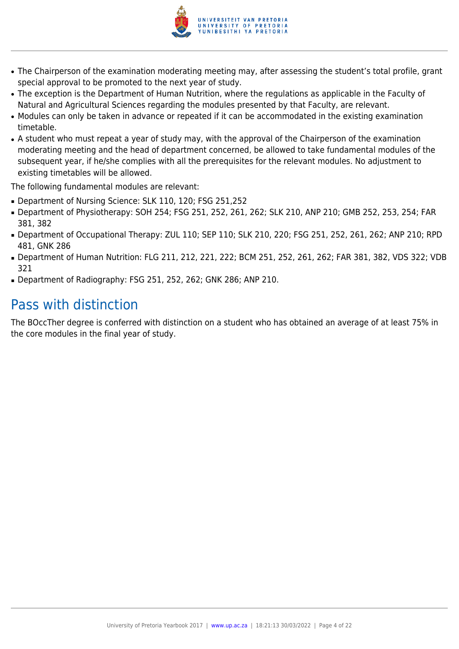

- The Chairperson of the examination moderating meeting may, after assessing the student's total profile, grant special approval to be promoted to the next year of study.
- The exception is the Department of Human Nutrition, where the regulations as applicable in the Faculty of Natural and Agricultural Sciences regarding the modules presented by that Faculty, are relevant.
- Modules can only be taken in advance or repeated if it can be accommodated in the existing examination timetable.
- A student who must repeat a year of study may, with the approval of the Chairperson of the examination moderating meeting and the head of department concerned, be allowed to take fundamental modules of the subsequent year, if he/she complies with all the prerequisites for the relevant modules. No adjustment to existing timetables will be allowed.

The following fundamental modules are relevant:

- Department of Nursing Science: SLK 110, 120; FSG 251,252
- Department of Physiotherapy: SOH 254; FSG 251, 252, 261, 262; SLK 210, ANP 210; GMB 252, 253, 254; FAR 381, 382
- Department of Occupational Therapy: ZUL 110; SEP 110; SLK 210, 220; FSG 251, 252, 261, 262; ANP 210; RPD 481, GNK 286
- Department of Human Nutrition: FLG 211, 212, 221, 222; BCM 251, 252, 261, 262; FAR 381, 382, VDS 322; VDB 321
- Department of Radiography: FSG 251, 252, 262; GNK 286; ANP 210.

## Pass with distinction

The BOccTher degree is conferred with distinction on a student who has obtained an average of at least 75% in the core modules in the final year of study.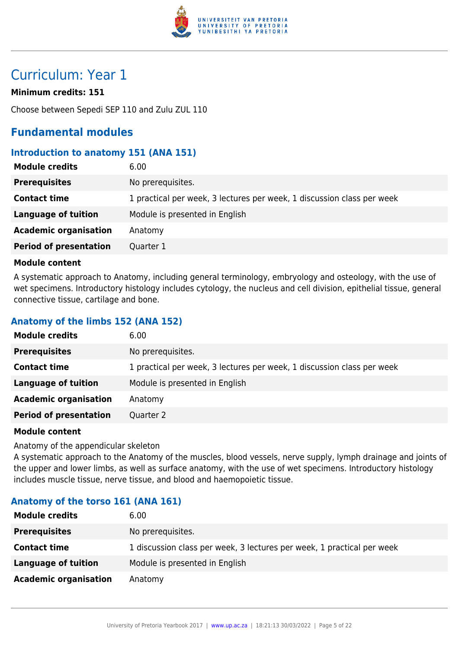

## Curriculum: Year 1

## **Minimum credits: 151**

Choose between Sepedi SEP 110 and Zulu ZUL 110

## **Fundamental modules**

## **Introduction to anatomy 151 (ANA 151)**

| <b>Module credits</b>         | 6.00                                                                   |
|-------------------------------|------------------------------------------------------------------------|
| <b>Prerequisites</b>          | No prerequisites.                                                      |
| <b>Contact time</b>           | 1 practical per week, 3 lectures per week, 1 discussion class per week |
| Language of tuition           | Module is presented in English                                         |
| <b>Academic organisation</b>  | Anatomy                                                                |
| <b>Period of presentation</b> | Quarter 1                                                              |

### **Module content**

A systematic approach to Anatomy, including general terminology, embryology and osteology, with the use of wet specimens. Introductory histology includes cytology, the nucleus and cell division, epithelial tissue, general connective tissue, cartilage and bone.

## **Anatomy of the limbs 152 (ANA 152)**

| <b>Module credits</b>         | 6.00                                                                   |
|-------------------------------|------------------------------------------------------------------------|
| <b>Prerequisites</b>          | No prerequisites.                                                      |
| <b>Contact time</b>           | 1 practical per week, 3 lectures per week, 1 discussion class per week |
| <b>Language of tuition</b>    | Module is presented in English                                         |
| <b>Academic organisation</b>  | Anatomy                                                                |
| <b>Period of presentation</b> | Quarter 2                                                              |

## **Module content**

Anatomy of the appendicular skeleton

A systematic approach to the Anatomy of the muscles, blood vessels, nerve supply, lymph drainage and joints of the upper and lower limbs, as well as surface anatomy, with the use of wet specimens. Introductory histology includes muscle tissue, nerve tissue, and blood and haemopoietic tissue.

## **Anatomy of the torso 161 (ANA 161)**

| <b>Module credits</b>        | 6.00                                                                   |
|------------------------------|------------------------------------------------------------------------|
| <b>Prerequisites</b>         | No prerequisites.                                                      |
| <b>Contact time</b>          | 1 discussion class per week, 3 lectures per week, 1 practical per week |
| <b>Language of tuition</b>   | Module is presented in English                                         |
| <b>Academic organisation</b> | Anatomy                                                                |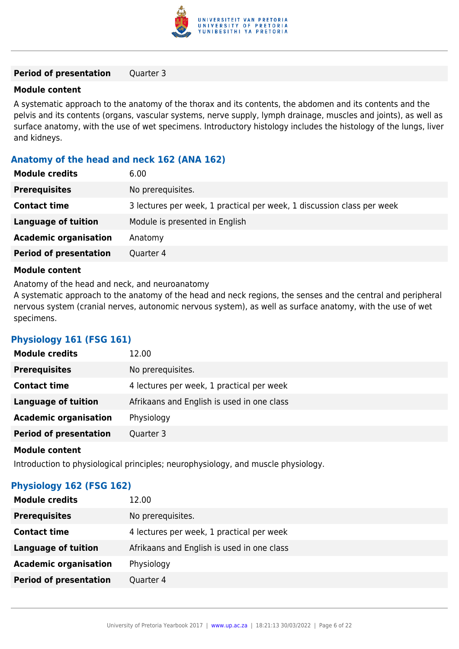

### **Period of presentation** Quarter 3

#### **Module content**

A systematic approach to the anatomy of the thorax and its contents, the abdomen and its contents and the pelvis and its contents (organs, vascular systems, nerve supply, lymph drainage, muscles and joints), as well as surface anatomy, with the use of wet specimens. Introductory histology includes the histology of the lungs, liver and kidneys.

## **Anatomy of the head and neck 162 (ANA 162)**

| <b>Module credits</b>         | 6.00                                                                   |
|-------------------------------|------------------------------------------------------------------------|
| <b>Prerequisites</b>          | No prerequisites.                                                      |
| <b>Contact time</b>           | 3 lectures per week, 1 practical per week, 1 discussion class per week |
| <b>Language of tuition</b>    | Module is presented in English                                         |
| <b>Academic organisation</b>  | Anatomy                                                                |
| <b>Period of presentation</b> | Quarter 4                                                              |
|                               |                                                                        |

## **Module content**

Anatomy of the head and neck, and neuroanatomy

A systematic approach to the anatomy of the head and neck regions, the senses and the central and peripheral nervous system (cranial nerves, autonomic nervous system), as well as surface anatomy, with the use of wet specimens.

## **Physiology 161 (FSG 161)**

| <b>Module credits</b>         | 12.00                                      |
|-------------------------------|--------------------------------------------|
| <b>Prerequisites</b>          | No prerequisites.                          |
| <b>Contact time</b>           | 4 lectures per week, 1 practical per week  |
| Language of tuition           | Afrikaans and English is used in one class |
| <b>Academic organisation</b>  | Physiology                                 |
| <b>Period of presentation</b> | Quarter 3                                  |
|                               |                                            |

#### **Module content**

Introduction to physiological principles; neurophysiology, and muscle physiology.

## **Physiology 162 (FSG 162)**

| <b>Module credits</b>         | 12.00                                      |
|-------------------------------|--------------------------------------------|
| <b>Prerequisites</b>          | No prerequisites.                          |
| <b>Contact time</b>           | 4 lectures per week, 1 practical per week  |
| Language of tuition           | Afrikaans and English is used in one class |
| <b>Academic organisation</b>  | Physiology                                 |
| <b>Period of presentation</b> | Quarter 4                                  |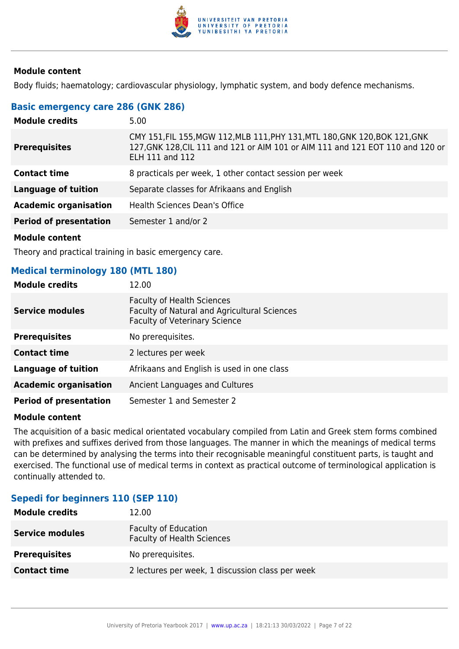

Body fluids; haematology; cardiovascular physiology, lymphatic system, and body defence mechanisms.

## **Basic emergency care 286 (GNK 286)**

| <b>Module credits</b>         | 5.00                                                                                                                                                                                    |
|-------------------------------|-----------------------------------------------------------------------------------------------------------------------------------------------------------------------------------------|
| <b>Prerequisites</b>          | CMY 151, FIL 155, MGW 112, MLB 111, PHY 131, MTL 180, GNK 120, BOK 121, GNK<br>127, GNK 128, CIL 111 and 121 or AIM 101 or AIM 111 and 121 EOT 110 and 120 or<br><b>ELH 111 and 112</b> |
| <b>Contact time</b>           | 8 practicals per week, 1 other contact session per week                                                                                                                                 |
| <b>Language of tuition</b>    | Separate classes for Afrikaans and English                                                                                                                                              |
| <b>Academic organisation</b>  | Health Sciences Dean's Office                                                                                                                                                           |
| <b>Period of presentation</b> | Semester 1 and/or 2                                                                                                                                                                     |
| .                             |                                                                                                                                                                                         |

**Module content**

Theory and practical training in basic emergency care.

## **Medical terminology 180 (MTL 180)**

| <b>Module credits</b>         | 12.00                                                                                                                            |
|-------------------------------|----------------------------------------------------------------------------------------------------------------------------------|
| <b>Service modules</b>        | <b>Faculty of Health Sciences</b><br><b>Faculty of Natural and Agricultural Sciences</b><br><b>Faculty of Veterinary Science</b> |
| <b>Prerequisites</b>          | No prerequisites.                                                                                                                |
| <b>Contact time</b>           | 2 lectures per week                                                                                                              |
| <b>Language of tuition</b>    | Afrikaans and English is used in one class                                                                                       |
| <b>Academic organisation</b>  | Ancient Languages and Cultures                                                                                                   |
| <b>Period of presentation</b> | Semester 1 and Semester 2                                                                                                        |

#### **Module content**

The acquisition of a basic medical orientated vocabulary compiled from Latin and Greek stem forms combined with prefixes and suffixes derived from those languages. The manner in which the meanings of medical terms can be determined by analysing the terms into their recognisable meaningful constituent parts, is taught and exercised. The functional use of medical terms in context as practical outcome of terminological application is continually attended to.

## **Sepedi for beginners 110 (SEP 110)**

| <b>Module credits</b>  | 12.00                                                            |
|------------------------|------------------------------------------------------------------|
| <b>Service modules</b> | <b>Faculty of Education</b><br><b>Faculty of Health Sciences</b> |
| <b>Prerequisites</b>   | No prerequisites.                                                |
| <b>Contact time</b>    | 2 lectures per week, 1 discussion class per week                 |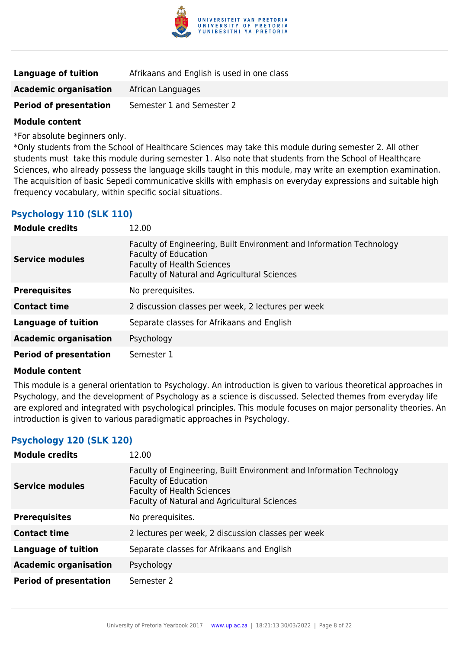

| Language of tuition           | Afrikaans and English is used in one class |
|-------------------------------|--------------------------------------------|
| <b>Academic organisation</b>  | African Languages                          |
| <b>Period of presentation</b> | Semester 1 and Semester 2                  |

\*For absolute beginners only.

\*Only students from the School of Healthcare Sciences may take this module during semester 2. All other students must take this module during semester 1. Also note that students from the School of Healthcare Sciences, who already possess the language skills taught in this module, may write an exemption examination. The acquisition of basic Sepedi communicative skills with emphasis on everyday expressions and suitable high frequency vocabulary, within specific social situations.

## **Psychology 110 (SLK 110)**

| <b>Module credits</b>         | 12.00                                                                                                                                                                                           |
|-------------------------------|-------------------------------------------------------------------------------------------------------------------------------------------------------------------------------------------------|
| <b>Service modules</b>        | Faculty of Engineering, Built Environment and Information Technology<br><b>Faculty of Education</b><br><b>Faculty of Health Sciences</b><br><b>Faculty of Natural and Agricultural Sciences</b> |
| <b>Prerequisites</b>          | No prerequisites.                                                                                                                                                                               |
| <b>Contact time</b>           | 2 discussion classes per week, 2 lectures per week                                                                                                                                              |
| <b>Language of tuition</b>    | Separate classes for Afrikaans and English                                                                                                                                                      |
| <b>Academic organisation</b>  | Psychology                                                                                                                                                                                      |
| <b>Period of presentation</b> | Semester 1                                                                                                                                                                                      |

#### **Module content**

This module is a general orientation to Psychology. An introduction is given to various theoretical approaches in Psychology, and the development of Psychology as a science is discussed. Selected themes from everyday life are explored and integrated with psychological principles. This module focuses on major personality theories. An introduction is given to various paradigmatic approaches in Psychology.

## **Psychology 120 (SLK 120)**

| <b>Module credits</b>         | 12.00                                                                                                                                                                                    |
|-------------------------------|------------------------------------------------------------------------------------------------------------------------------------------------------------------------------------------|
| <b>Service modules</b>        | Faculty of Engineering, Built Environment and Information Technology<br><b>Faculty of Education</b><br><b>Faculty of Health Sciences</b><br>Faculty of Natural and Agricultural Sciences |
| <b>Prerequisites</b>          | No prerequisites.                                                                                                                                                                        |
| <b>Contact time</b>           | 2 lectures per week, 2 discussion classes per week                                                                                                                                       |
| <b>Language of tuition</b>    | Separate classes for Afrikaans and English                                                                                                                                               |
| <b>Academic organisation</b>  | Psychology                                                                                                                                                                               |
| <b>Period of presentation</b> | Semester 2                                                                                                                                                                               |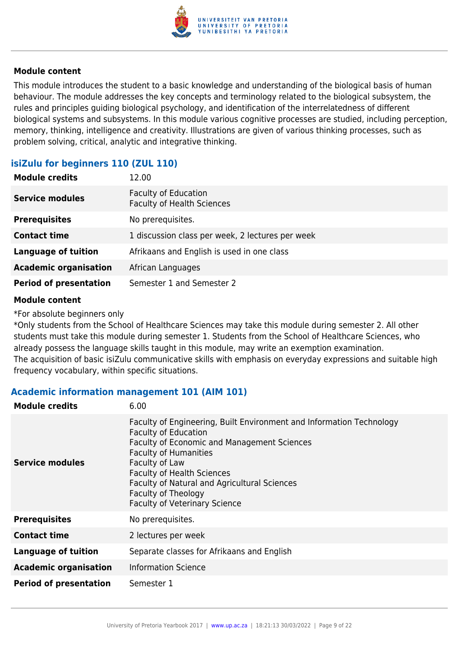

This module introduces the student to a basic knowledge and understanding of the biological basis of human behaviour. The module addresses the key concepts and terminology related to the biological subsystem, the rules and principles guiding biological psychology, and identification of the interrelatedness of different biological systems and subsystems. In this module various cognitive processes are studied, including perception, memory, thinking, intelligence and creativity. Illustrations are given of various thinking processes, such as problem solving, critical, analytic and integrative thinking.

## **isiZulu for beginners 110 (ZUL 110)**

| <b>Module credits</b>         | 12.00                                                            |
|-------------------------------|------------------------------------------------------------------|
| <b>Service modules</b>        | <b>Faculty of Education</b><br><b>Faculty of Health Sciences</b> |
| <b>Prerequisites</b>          | No prerequisites.                                                |
| <b>Contact time</b>           | 1 discussion class per week, 2 lectures per week                 |
| <b>Language of tuition</b>    | Afrikaans and English is used in one class                       |
| <b>Academic organisation</b>  | African Languages                                                |
| <b>Period of presentation</b> | Semester 1 and Semester 2                                        |

### **Module content**

\*For absolute beginners only

\*Only students from the School of Healthcare Sciences may take this module during semester 2. All other students must take this module during semester 1. Students from the School of Healthcare Sciences, who already possess the language skills taught in this module, may write an exemption examination. The acquisition of basic isiZulu communicative skills with emphasis on everyday expressions and suitable high frequency vocabulary, within specific situations.

## **Academic information management 101 (AIM 101)**

| <b>Module credits</b>         | 6.00                                                                                                                                                                                                                                                                                                                                                     |
|-------------------------------|----------------------------------------------------------------------------------------------------------------------------------------------------------------------------------------------------------------------------------------------------------------------------------------------------------------------------------------------------------|
| <b>Service modules</b>        | Faculty of Engineering, Built Environment and Information Technology<br><b>Faculty of Education</b><br>Faculty of Economic and Management Sciences<br><b>Faculty of Humanities</b><br>Faculty of Law<br><b>Faculty of Health Sciences</b><br>Faculty of Natural and Agricultural Sciences<br>Faculty of Theology<br><b>Faculty of Veterinary Science</b> |
| <b>Prerequisites</b>          | No prerequisites.                                                                                                                                                                                                                                                                                                                                        |
| <b>Contact time</b>           | 2 lectures per week                                                                                                                                                                                                                                                                                                                                      |
| <b>Language of tuition</b>    | Separate classes for Afrikaans and English                                                                                                                                                                                                                                                                                                               |
| <b>Academic organisation</b>  | <b>Information Science</b>                                                                                                                                                                                                                                                                                                                               |
| <b>Period of presentation</b> | Semester 1                                                                                                                                                                                                                                                                                                                                               |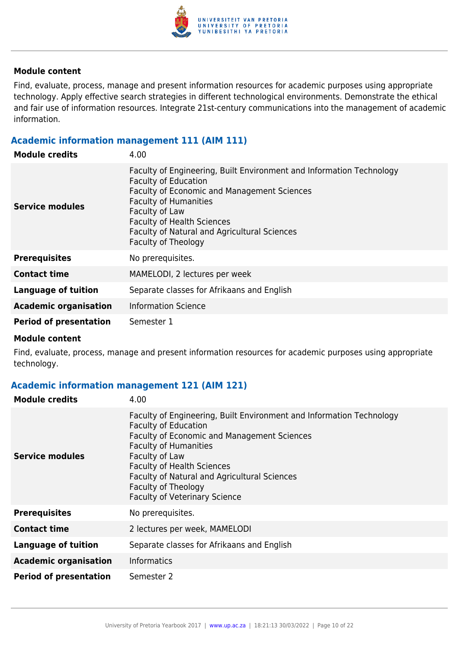

Find, evaluate, process, manage and present information resources for academic purposes using appropriate technology. Apply effective search strategies in different technological environments. Demonstrate the ethical and fair use of information resources. Integrate 21st-century communications into the management of academic information.

## **Academic information management 111 (AIM 111)**

| <b>Module credits</b>         | 4.00                                                                                                                                                                                                                                                                                                                    |
|-------------------------------|-------------------------------------------------------------------------------------------------------------------------------------------------------------------------------------------------------------------------------------------------------------------------------------------------------------------------|
| <b>Service modules</b>        | Faculty of Engineering, Built Environment and Information Technology<br><b>Faculty of Education</b><br><b>Faculty of Economic and Management Sciences</b><br><b>Faculty of Humanities</b><br>Faculty of Law<br><b>Faculty of Health Sciences</b><br>Faculty of Natural and Agricultural Sciences<br>Faculty of Theology |
| <b>Prerequisites</b>          | No prerequisites.                                                                                                                                                                                                                                                                                                       |
| <b>Contact time</b>           | MAMELODI, 2 lectures per week                                                                                                                                                                                                                                                                                           |
| <b>Language of tuition</b>    | Separate classes for Afrikaans and English                                                                                                                                                                                                                                                                              |
| <b>Academic organisation</b>  | <b>Information Science</b>                                                                                                                                                                                                                                                                                              |
| <b>Period of presentation</b> | Semester 1                                                                                                                                                                                                                                                                                                              |

#### **Module content**

Find, evaluate, process, manage and present information resources for academic purposes using appropriate technology.

## **Academic information management 121 (AIM 121)**

| <b>Module credits</b>         | 4.00                                                                                                                                                                                                                                                                                                                                                     |
|-------------------------------|----------------------------------------------------------------------------------------------------------------------------------------------------------------------------------------------------------------------------------------------------------------------------------------------------------------------------------------------------------|
| <b>Service modules</b>        | Faculty of Engineering, Built Environment and Information Technology<br><b>Faculty of Education</b><br>Faculty of Economic and Management Sciences<br><b>Faculty of Humanities</b><br>Faculty of Law<br><b>Faculty of Health Sciences</b><br>Faculty of Natural and Agricultural Sciences<br>Faculty of Theology<br><b>Faculty of Veterinary Science</b> |
| <b>Prerequisites</b>          | No prerequisites.                                                                                                                                                                                                                                                                                                                                        |
| <b>Contact time</b>           | 2 lectures per week, MAMELODI                                                                                                                                                                                                                                                                                                                            |
| <b>Language of tuition</b>    | Separate classes for Afrikaans and English                                                                                                                                                                                                                                                                                                               |
| <b>Academic organisation</b>  | <b>Informatics</b>                                                                                                                                                                                                                                                                                                                                       |
| <b>Period of presentation</b> | Semester 2                                                                                                                                                                                                                                                                                                                                               |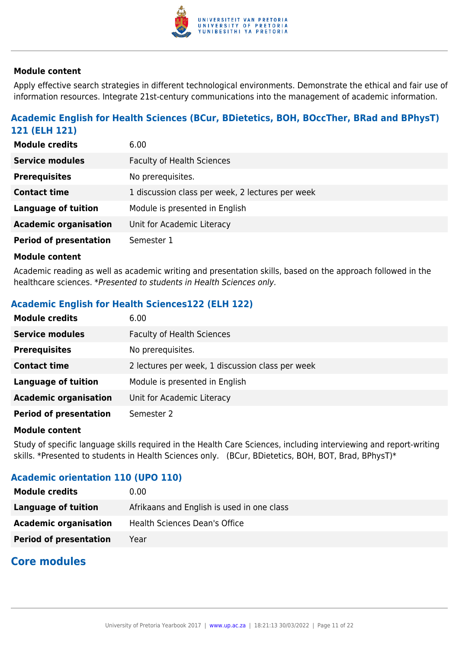

Apply effective search strategies in different technological environments. Demonstrate the ethical and fair use of information resources. Integrate 21st-century communications into the management of academic information.

## **Academic English for Health Sciences (BCur, BDietetics, BOH, BOccTher, BRad and BPhysT) 121 (ELH 121)**

| <b>Module credits</b>         | 6.00                                             |
|-------------------------------|--------------------------------------------------|
| <b>Service modules</b>        | <b>Faculty of Health Sciences</b>                |
| <b>Prerequisites</b>          | No prerequisites.                                |
| <b>Contact time</b>           | 1 discussion class per week, 2 lectures per week |
| <b>Language of tuition</b>    | Module is presented in English                   |
| <b>Academic organisation</b>  | Unit for Academic Literacy                       |
| <b>Period of presentation</b> | Semester 1                                       |

#### **Module content**

Academic reading as well as academic writing and presentation skills, based on the approach followed in the healthcare sciences. \*Presented to students in Health Sciences only.

## **Academic English for Health Sciences122 (ELH 122)**

| <b>Module credits</b>         | 6.00                                             |
|-------------------------------|--------------------------------------------------|
| <b>Service modules</b>        | <b>Faculty of Health Sciences</b>                |
| <b>Prerequisites</b>          | No prerequisites.                                |
| <b>Contact time</b>           | 2 lectures per week, 1 discussion class per week |
| <b>Language of tuition</b>    | Module is presented in English                   |
| <b>Academic organisation</b>  | Unit for Academic Literacy                       |
| <b>Period of presentation</b> | Semester 2                                       |

#### **Module content**

Study of specific language skills required in the Health Care Sciences, including interviewing and report-writing skills. \*Presented to students in Health Sciences only. (BCur, BDietetics, BOH, BOT, Brad, BPhysT)\*

## **Academic orientation 110 (UPO 110)**

| <b>Module credits</b>         | $0.00 \,$                                  |
|-------------------------------|--------------------------------------------|
| Language of tuition           | Afrikaans and English is used in one class |
| <b>Academic organisation</b>  | Health Sciences Dean's Office              |
| <b>Period of presentation</b> | Year                                       |

## **Core modules**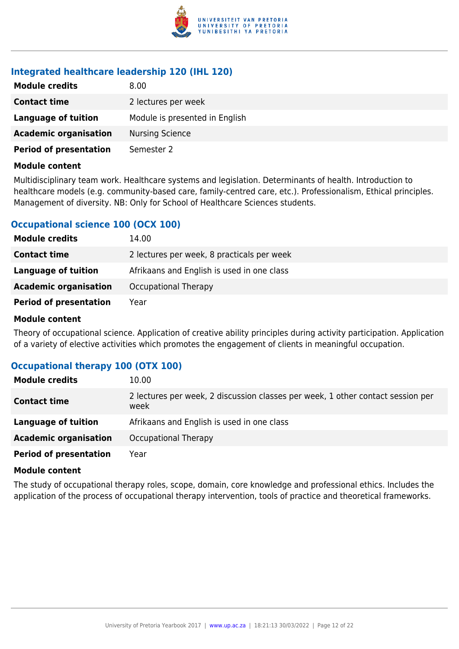

## **Integrated healthcare leadership 120 (IHL 120)**

| <b>Module credits</b>         | 8.00                           |
|-------------------------------|--------------------------------|
| <b>Contact time</b>           | 2 lectures per week            |
| Language of tuition           | Module is presented in English |
| <b>Academic organisation</b>  | <b>Nursing Science</b>         |
| <b>Period of presentation</b> | Semester 2                     |

#### **Module content**

Multidisciplinary team work. Healthcare systems and legislation. Determinants of health. Introduction to healthcare models (e.g. community-based care, family-centred care, etc.). Professionalism, Ethical principles. Management of diversity. NB: Only for School of Healthcare Sciences students.

## **Occupational science 100 (OCX 100)**

| <b>Module credits</b>         | 14.00                                      |
|-------------------------------|--------------------------------------------|
| <b>Contact time</b>           | 2 lectures per week, 8 practicals per week |
| <b>Language of tuition</b>    | Afrikaans and English is used in one class |
| <b>Academic organisation</b>  | Occupational Therapy                       |
| <b>Period of presentation</b> | Year                                       |

### **Module content**

Theory of occupational science. Application of creative ability principles during activity participation. Application of a variety of elective activities which promotes the engagement of clients in meaningful occupation.

## **Occupational therapy 100 (OTX 100)**

| <b>Module credits</b>         | 10.00                                                                                   |
|-------------------------------|-----------------------------------------------------------------------------------------|
| <b>Contact time</b>           | 2 lectures per week, 2 discussion classes per week, 1 other contact session per<br>week |
| Language of tuition           | Afrikaans and English is used in one class                                              |
| <b>Academic organisation</b>  | Occupational Therapy                                                                    |
| <b>Period of presentation</b> | Year                                                                                    |

#### **Module content**

The study of occupational therapy roles, scope, domain, core knowledge and professional ethics. Includes the application of the process of occupational therapy intervention, tools of practice and theoretical frameworks.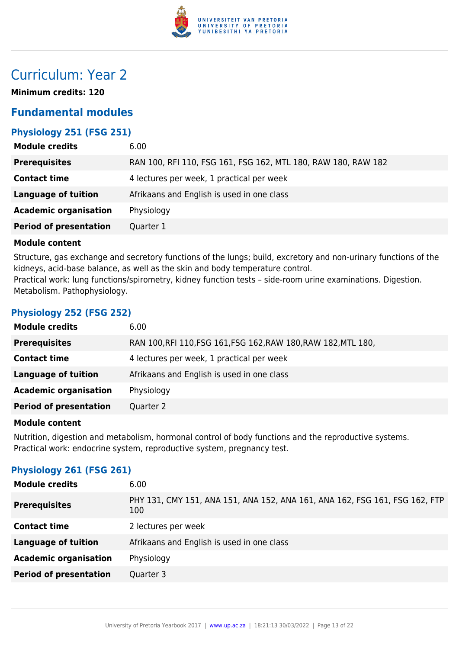

## Curriculum: Year 2

**Minimum credits: 120**

## **Fundamental modules**

## **Physiology 251 (FSG 251)**

| 6.00                                                          |
|---------------------------------------------------------------|
| RAN 100, RFI 110, FSG 161, FSG 162, MTL 180, RAW 180, RAW 182 |
| 4 lectures per week, 1 practical per week                     |
| Afrikaans and English is used in one class                    |
| Physiology                                                    |
| Quarter 1                                                     |
|                                                               |

### **Module content**

Structure, gas exchange and secretory functions of the lungs; build, excretory and non-urinary functions of the kidneys, acid-base balance, as well as the skin and body temperature control. Practical work: lung functions/spirometry, kidney function tests – side-room urine examinations. Digestion. Metabolism. Pathophysiology.

## **Physiology 252 (FSG 252)**

| <b>Module credits</b>         | 6.00                                                           |
|-------------------------------|----------------------------------------------------------------|
| <b>Prerequisites</b>          | RAN 100, RFI 110, FSG 161, FSG 162, RAW 180, RAW 182, MTL 180, |
| <b>Contact time</b>           | 4 lectures per week, 1 practical per week                      |
| <b>Language of tuition</b>    | Afrikaans and English is used in one class                     |
| <b>Academic organisation</b>  | Physiology                                                     |
| <b>Period of presentation</b> | Quarter 2                                                      |
|                               |                                                                |

#### **Module content**

Nutrition, digestion and metabolism, hormonal control of body functions and the reproductive systems. Practical work: endocrine system, reproductive system, pregnancy test.

## **Physiology 261 (FSG 261)**

| <b>Module credits</b>         | 6.00                                                                               |
|-------------------------------|------------------------------------------------------------------------------------|
| <b>Prerequisites</b>          | PHY 131, CMY 151, ANA 151, ANA 152, ANA 161, ANA 162, FSG 161, FSG 162, FTP<br>100 |
| <b>Contact time</b>           | 2 lectures per week                                                                |
| <b>Language of tuition</b>    | Afrikaans and English is used in one class                                         |
| <b>Academic organisation</b>  | Physiology                                                                         |
| <b>Period of presentation</b> | Quarter 3                                                                          |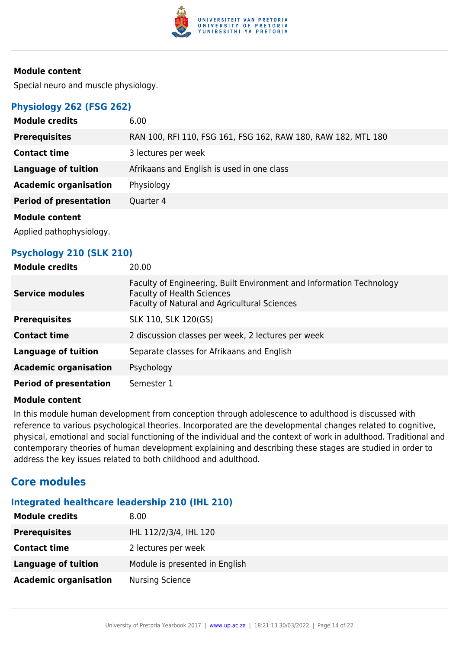

Special neuro and muscle physiology.

## **Physiology 262 (FSG 262)**

| <b>Module credits</b>         | 6.00                                                          |
|-------------------------------|---------------------------------------------------------------|
| <b>Prerequisites</b>          | RAN 100, RFI 110, FSG 161, FSG 162, RAW 180, RAW 182, MTL 180 |
| <b>Contact time</b>           | 3 lectures per week                                           |
| <b>Language of tuition</b>    | Afrikaans and English is used in one class                    |
| <b>Academic organisation</b>  | Physiology                                                    |
| <b>Period of presentation</b> | Quarter 4                                                     |
| <b>Module content</b>         |                                                               |
| Applied pathophysiology.      |                                                               |

## **Psychology 210 (SLK 210)**

| <b>Module credits</b>         | 20.00                                                                                                                                                     |
|-------------------------------|-----------------------------------------------------------------------------------------------------------------------------------------------------------|
| <b>Service modules</b>        | Faculty of Engineering, Built Environment and Information Technology<br><b>Faculty of Health Sciences</b><br>Faculty of Natural and Agricultural Sciences |
| <b>Prerequisites</b>          | SLK 110, SLK 120(GS)                                                                                                                                      |
| <b>Contact time</b>           | 2 discussion classes per week, 2 lectures per week                                                                                                        |
| Language of tuition           | Separate classes for Afrikaans and English                                                                                                                |
| <b>Academic organisation</b>  | Psychology                                                                                                                                                |
| <b>Period of presentation</b> | Semester 1                                                                                                                                                |

## **Module content**

In this module human development from conception through adolescence to adulthood is discussed with reference to various psychological theories. Incorporated are the developmental changes related to cognitive, physical, emotional and social functioning of the individual and the context of work in adulthood. Traditional and contemporary theories of human development explaining and describing these stages are studied in order to address the key issues related to both childhood and adulthood.

## **Core modules**

## **Integrated healthcare leadership 210 (IHL 210)**

| <b>Module credits</b>        | 8.00                           |
|------------------------------|--------------------------------|
| <b>Prerequisites</b>         | IHL 112/2/3/4, IHL 120         |
| <b>Contact time</b>          | 2 lectures per week            |
| <b>Language of tuition</b>   | Module is presented in English |
| <b>Academic organisation</b> | <b>Nursing Science</b>         |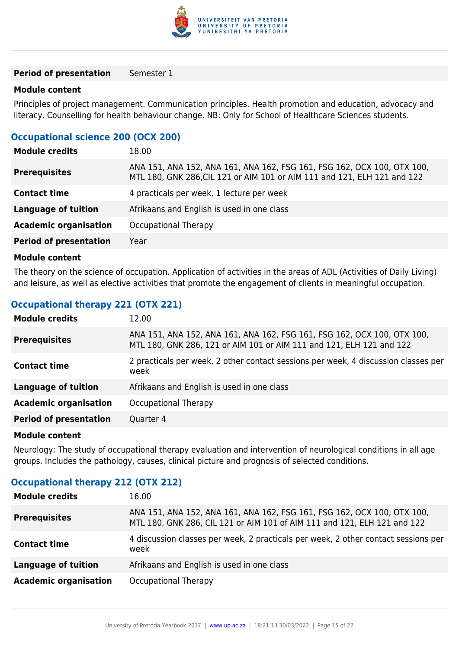

**Period of presentation** Semester 1

#### **Module content**

Principles of project management. Communication principles. Health promotion and education, advocacy and literacy. Counselling for health behaviour change. NB: Only for School of Healthcare Sciences students.

## **Occupational science 200 (OCX 200)**

| <b>Module credits</b>         | 18.00                                                                                                                                               |
|-------------------------------|-----------------------------------------------------------------------------------------------------------------------------------------------------|
| <b>Prerequisites</b>          | ANA 151, ANA 152, ANA 161, ANA 162, FSG 161, FSG 162, OCX 100, OTX 100,<br>MTL 180, GNK 286, CIL 121 or AIM 101 or AIM 111 and 121, ELH 121 and 122 |
| <b>Contact time</b>           | 4 practicals per week, 1 lecture per week                                                                                                           |
| <b>Language of tuition</b>    | Afrikaans and English is used in one class                                                                                                          |
| <b>Academic organisation</b>  | <b>Occupational Therapy</b>                                                                                                                         |
| <b>Period of presentation</b> | Year                                                                                                                                                |

#### **Module content**

The theory on the science of occupation. Application of activities in the areas of ADL (Activities of Daily Living) and leisure, as well as elective activities that promote the engagement of clients in meaningful occupation.

## **Occupational therapy 221 (OTX 221)**

| <b>Module credits</b>         | 12.00                                                                                                                                           |
|-------------------------------|-------------------------------------------------------------------------------------------------------------------------------------------------|
| <b>Prerequisites</b>          | ANA 151, ANA 152, ANA 161, ANA 162, FSG 161, FSG 162, OCX 100, OTX 100,<br>MTL 180, GNK 286, 121 or AIM 101 or AIM 111 and 121, ELH 121 and 122 |
| <b>Contact time</b>           | 2 practicals per week, 2 other contact sessions per week, 4 discussion classes per<br>week                                                      |
| <b>Language of tuition</b>    | Afrikaans and English is used in one class                                                                                                      |
| <b>Academic organisation</b>  | Occupational Therapy                                                                                                                            |
| <b>Period of presentation</b> | Quarter 4                                                                                                                                       |

#### **Module content**

Neurology: The study of occupational therapy evaluation and intervention of neurological conditions in all age groups. Includes the pathology, causes, clinical picture and prognosis of selected conditions.

| <b>Module credits</b>        | 16.00                                                                                                                                               |
|------------------------------|-----------------------------------------------------------------------------------------------------------------------------------------------------|
| <b>Prerequisites</b>         | ANA 151, ANA 152, ANA 161, ANA 162, FSG 161, FSG 162, OCX 100, OTX 100,<br>MTL 180, GNK 286, CIL 121 or AIM 101 of AIM 111 and 121, ELH 121 and 122 |
| <b>Contact time</b>          | 4 discussion classes per week, 2 practicals per week, 2 other contact sessions per<br>week                                                          |
| <b>Language of tuition</b>   | Afrikaans and English is used in one class                                                                                                          |
| <b>Academic organisation</b> | Occupational Therapy                                                                                                                                |

## **Occupational therapy 212 (OTX 212)**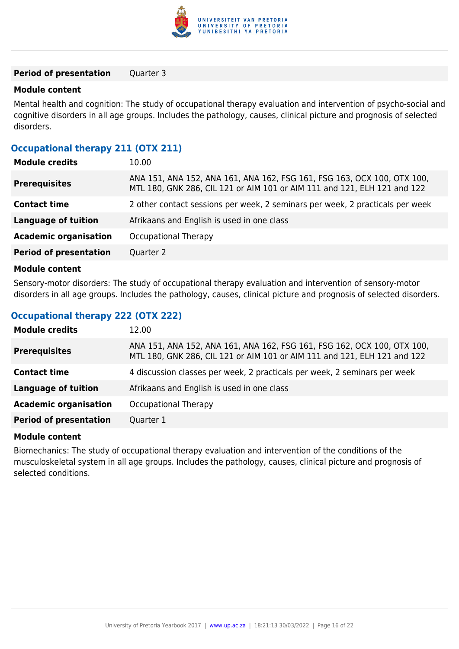

#### **Period of presentation** Quarter 3

#### **Module content**

Mental health and cognition: The study of occupational therapy evaluation and intervention of psycho-social and cognitive disorders in all age groups. Includes the pathology, causes, clinical picture and prognosis of selected disorders.

## **Occupational therapy 211 (OTX 211)**

| <b>Module credits</b>         | 10.00                                                                                                                                               |
|-------------------------------|-----------------------------------------------------------------------------------------------------------------------------------------------------|
| <b>Prerequisites</b>          | ANA 151, ANA 152, ANA 161, ANA 162, FSG 161, FSG 163, OCX 100, OTX 100,<br>MTL 180, GNK 286, CIL 121 or AIM 101 or AIM 111 and 121, ELH 121 and 122 |
| <b>Contact time</b>           | 2 other contact sessions per week, 2 seminars per week, 2 practicals per week                                                                       |
| <b>Language of tuition</b>    | Afrikaans and English is used in one class                                                                                                          |
| <b>Academic organisation</b>  | Occupational Therapy                                                                                                                                |
| <b>Period of presentation</b> | Quarter 2                                                                                                                                           |
|                               |                                                                                                                                                     |

#### **Module content**

Sensory-motor disorders: The study of occupational therapy evaluation and intervention of sensory-motor disorders in all age groups. Includes the pathology, causes, clinical picture and prognosis of selected disorders.

## **Occupational therapy 222 (OTX 222)**

| <b>Module credits</b>         | 12.00                                                                                                                                               |
|-------------------------------|-----------------------------------------------------------------------------------------------------------------------------------------------------|
| <b>Prerequisites</b>          | ANA 151, ANA 152, ANA 161, ANA 162, FSG 161, FSG 162, OCX 100, OTX 100,<br>MTL 180, GNK 286, CIL 121 or AIM 101 or AIM 111 and 121, ELH 121 and 122 |
| <b>Contact time</b>           | 4 discussion classes per week, 2 practicals per week, 2 seminars per week                                                                           |
| <b>Language of tuition</b>    | Afrikaans and English is used in one class                                                                                                          |
| <b>Academic organisation</b>  | Occupational Therapy                                                                                                                                |
| <b>Period of presentation</b> | Quarter 1                                                                                                                                           |

#### **Module content**

Biomechanics: The study of occupational therapy evaluation and intervention of the conditions of the musculoskeletal system in all age groups. Includes the pathology, causes, clinical picture and prognosis of selected conditions.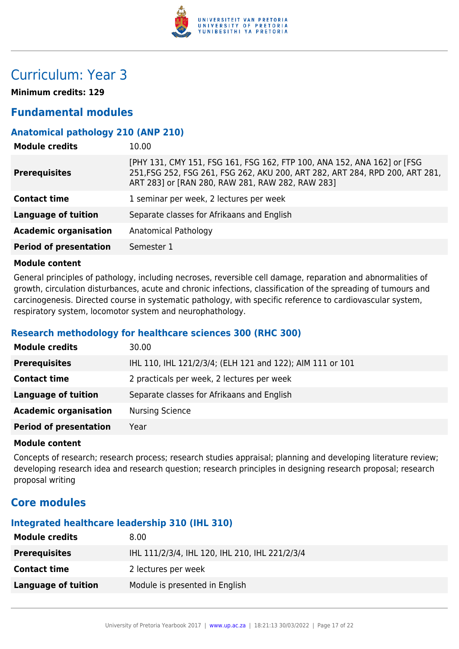

## Curriculum: Year 3

**Minimum credits: 129**

## **Fundamental modules**

## **Anatomical pathology 210 (ANP 210)**

| <b>Module credits</b>         | 10.00                                                                                                                                                                                                       |
|-------------------------------|-------------------------------------------------------------------------------------------------------------------------------------------------------------------------------------------------------------|
| <b>Prerequisites</b>          | [PHY 131, CMY 151, FSG 161, FSG 162, FTP 100, ANA 152, ANA 162] or [FSG<br>251, FSG 252, FSG 261, FSG 262, AKU 200, ART 282, ART 284, RPD 200, ART 281,<br>ART 283] or [RAN 280, RAW 281, RAW 282, RAW 283] |
| <b>Contact time</b>           | 1 seminar per week, 2 lectures per week                                                                                                                                                                     |
| <b>Language of tuition</b>    | Separate classes for Afrikaans and English                                                                                                                                                                  |
| <b>Academic organisation</b>  | Anatomical Pathology                                                                                                                                                                                        |
| <b>Period of presentation</b> | Semester 1                                                                                                                                                                                                  |

### **Module content**

General principles of pathology, including necroses, reversible cell damage, reparation and abnormalities of growth, circulation disturbances, acute and chronic infections, classification of the spreading of tumours and carcinogenesis. Directed course in systematic pathology, with specific reference to cardiovascular system, respiratory system, locomotor system and neurophathology.

## **Research methodology for healthcare sciences 300 (RHC 300)**

| <b>Module credits</b>         | 30.00                                                     |
|-------------------------------|-----------------------------------------------------------|
| <b>Prerequisites</b>          | IHL 110, IHL 121/2/3/4; (ELH 121 and 122); AIM 111 or 101 |
| <b>Contact time</b>           | 2 practicals per week, 2 lectures per week                |
| Language of tuition           | Separate classes for Afrikaans and English                |
| <b>Academic organisation</b>  | <b>Nursing Science</b>                                    |
| <b>Period of presentation</b> | Year                                                      |

#### **Module content**

Concepts of research; research process; research studies appraisal; planning and developing literature review; developing research idea and research question; research principles in designing research proposal; research proposal writing

## **Core modules**

## **Integrated healthcare leadership 310 (IHL 310)**

| <b>Module credits</b> | 8.00 <sub>1</sub>                              |
|-----------------------|------------------------------------------------|
| <b>Prerequisites</b>  | IHL 111/2/3/4, IHL 120, IHL 210, IHL 221/2/3/4 |
| <b>Contact time</b>   | 2 lectures per week                            |
| Language of tuition   | Module is presented in English                 |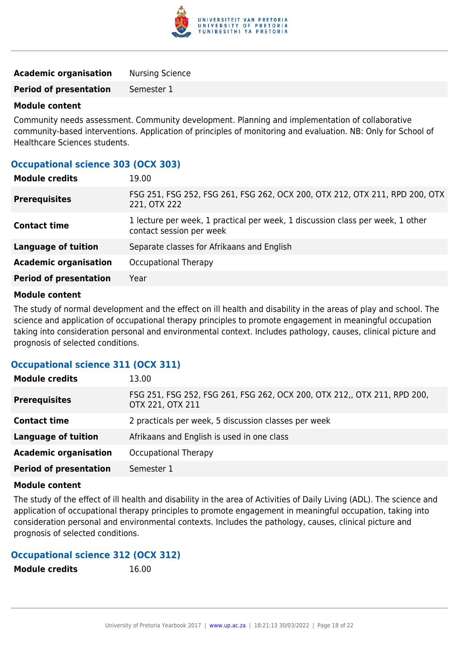

| <b>Academic organisation</b>  | <b>Nursing Science</b> |
|-------------------------------|------------------------|
| <b>Period of presentation</b> | Semester 1             |

Community needs assessment. Community development. Planning and implementation of collaborative community-based interventions. Application of principles of monitoring and evaluation. NB: Only for School of Healthcare Sciences students.

## **Occupational science 303 (OCX 303)**

| <b>Module credits</b>         | 19.00                                                                                                      |
|-------------------------------|------------------------------------------------------------------------------------------------------------|
| <b>Prerequisites</b>          | FSG 251, FSG 252, FSG 261, FSG 262, OCX 200, OTX 212, OTX 211, RPD 200, OTX<br>221, OTX 222                |
| <b>Contact time</b>           | 1 lecture per week, 1 practical per week, 1 discussion class per week, 1 other<br>contact session per week |
| <b>Language of tuition</b>    | Separate classes for Afrikaans and English                                                                 |
| <b>Academic organisation</b>  | Occupational Therapy                                                                                       |
| <b>Period of presentation</b> | Year                                                                                                       |
|                               |                                                                                                            |

#### **Module content**

The study of normal development and the effect on ill health and disability in the areas of play and school. The science and application of occupational therapy principles to promote engagement in meaningful occupation taking into consideration personal and environmental context. Includes pathology, causes, clinical picture and prognosis of selected conditions.

## **Occupational science 311 (OCX 311)**

| <b>Module credits</b>         | 13.00                                                                                        |
|-------------------------------|----------------------------------------------------------------------------------------------|
| <b>Prerequisites</b>          | FSG 251, FSG 252, FSG 261, FSG 262, OCX 200, OTX 212,, OTX 211, RPD 200,<br>OTX 221, OTX 211 |
| <b>Contact time</b>           | 2 practicals per week, 5 discussion classes per week                                         |
| <b>Language of tuition</b>    | Afrikaans and English is used in one class                                                   |
| <b>Academic organisation</b>  | Occupational Therapy                                                                         |
| <b>Period of presentation</b> | Semester 1                                                                                   |

#### **Module content**

The study of the effect of ill health and disability in the area of Activities of Daily Living (ADL). The science and application of occupational therapy principles to promote engagement in meaningful occupation, taking into consideration personal and environmental contexts. Includes the pathology, causes, clinical picture and prognosis of selected conditions.

## **Occupational science 312 (OCX 312)**

**Module credits** 16.00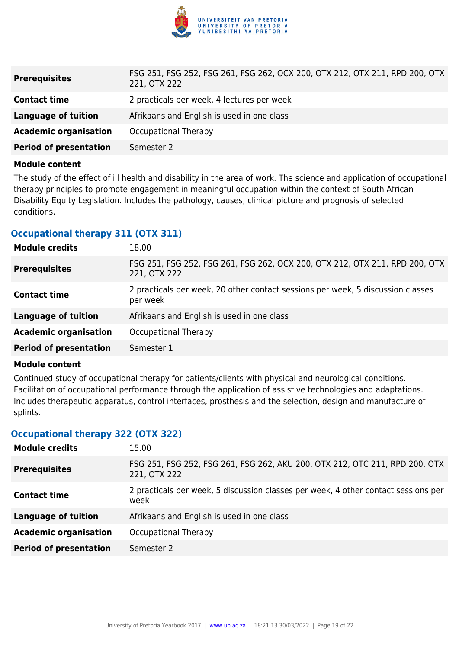

| <b>Prerequisites</b>          | FSG 251, FSG 252, FSG 261, FSG 262, OCX 200, OTX 212, OTX 211, RPD 200, OTX<br>221, OTX 222 |
|-------------------------------|---------------------------------------------------------------------------------------------|
| <b>Contact time</b>           | 2 practicals per week, 4 lectures per week                                                  |
| Language of tuition           | Afrikaans and English is used in one class                                                  |
| <b>Academic organisation</b>  | Occupational Therapy                                                                        |
| <b>Period of presentation</b> | Semester 2                                                                                  |

The study of the effect of ill health and disability in the area of work. The science and application of occupational therapy principles to promote engagement in meaningful occupation within the context of South African Disability Equity Legislation. Includes the pathology, causes, clinical picture and prognosis of selected conditions.

## **Occupational therapy 311 (OTX 311)**

| <b>Module credits</b>         | 18.00                                                                                       |
|-------------------------------|---------------------------------------------------------------------------------------------|
| <b>Prerequisites</b>          | FSG 251, FSG 252, FSG 261, FSG 262, OCX 200, OTX 212, OTX 211, RPD 200, OTX<br>221, OTX 222 |
| <b>Contact time</b>           | 2 practicals per week, 20 other contact sessions per week, 5 discussion classes<br>per week |
| <b>Language of tuition</b>    | Afrikaans and English is used in one class                                                  |
| <b>Academic organisation</b>  | Occupational Therapy                                                                        |
| <b>Period of presentation</b> | Semester 1                                                                                  |

#### **Module content**

Continued study of occupational therapy for patients/clients with physical and neurological conditions. Facilitation of occupational performance through the application of assistive technologies and adaptations. Includes therapeutic apparatus, control interfaces, prosthesis and the selection, design and manufacture of splints.

## **Occupational therapy 322 (OTX 322)**

| <b>Module credits</b>         | 15.00                                                                                       |
|-------------------------------|---------------------------------------------------------------------------------------------|
| <b>Prerequisites</b>          | FSG 251, FSG 252, FSG 261, FSG 262, AKU 200, OTX 212, OTC 211, RPD 200, OTX<br>221, OTX 222 |
| <b>Contact time</b>           | 2 practicals per week, 5 discussion classes per week, 4 other contact sessions per<br>week  |
| <b>Language of tuition</b>    | Afrikaans and English is used in one class                                                  |
| <b>Academic organisation</b>  | Occupational Therapy                                                                        |
| <b>Period of presentation</b> | Semester 2                                                                                  |
|                               |                                                                                             |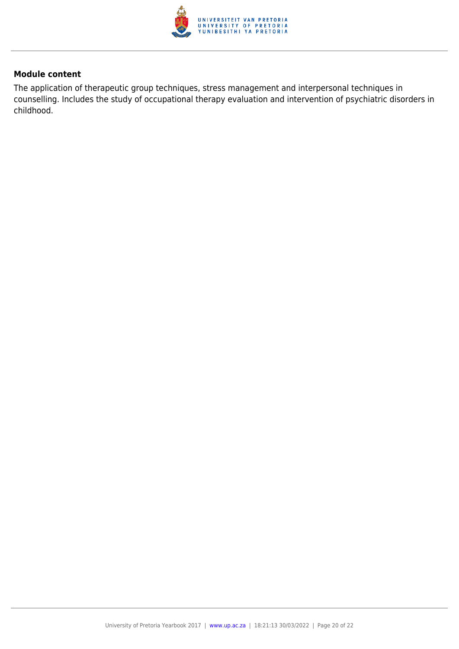

The application of therapeutic group techniques, stress management and interpersonal techniques in counselling. Includes the study of occupational therapy evaluation and intervention of psychiatric disorders in childhood.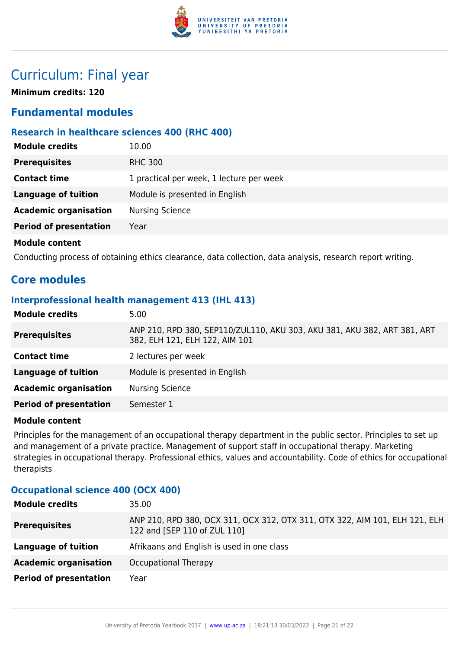

## Curriculum: Final year

**Minimum credits: 120**

## **Fundamental modules**

## **Research in healthcare sciences 400 (RHC 400)**

| <b>Module credits</b>         | 10.00                                    |
|-------------------------------|------------------------------------------|
| <b>Prerequisites</b>          | <b>RHC 300</b>                           |
| <b>Contact time</b>           | 1 practical per week, 1 lecture per week |
| <b>Language of tuition</b>    | Module is presented in English           |
| <b>Academic organisation</b>  | <b>Nursing Science</b>                   |
| <b>Period of presentation</b> | Year                                     |
| <b>Module content</b>         |                                          |

Conducting process of obtaining ethics clearance, data collection, data analysis, research report writing.

## **Core modules**

## **Interprofessional health management 413 (IHL 413)**

| <b>Module credits</b>         | 5.00                                                                                                       |
|-------------------------------|------------------------------------------------------------------------------------------------------------|
| <b>Prerequisites</b>          | ANP 210, RPD 380, SEP110/ZUL110, AKU 303, AKU 381, AKU 382, ART 381, ART<br>382, ELH 121, ELH 122, AIM 101 |
| <b>Contact time</b>           | 2 lectures per week                                                                                        |
| <b>Language of tuition</b>    | Module is presented in English                                                                             |
| <b>Academic organisation</b>  | <b>Nursing Science</b>                                                                                     |
| <b>Period of presentation</b> | Semester 1                                                                                                 |
|                               |                                                                                                            |

#### **Module content**

Principles for the management of an occupational therapy department in the public sector. Principles to set up and management of a private practice. Management of support staff in occupational therapy. Marketing strategies in occupational therapy. Professional ethics, values and accountability. Code of ethics for occupational therapists

## **Occupational science 400 (OCX 400)**

| <b>Module credits</b>         | 35.00                                                                                                       |
|-------------------------------|-------------------------------------------------------------------------------------------------------------|
| <b>Prerequisites</b>          | ANP 210, RPD 380, OCX 311, OCX 312, OTX 311, OTX 322, AIM 101, ELH 121, ELH<br>122 and [SEP 110 of ZUL 110] |
| Language of tuition           | Afrikaans and English is used in one class                                                                  |
| <b>Academic organisation</b>  | Occupational Therapy                                                                                        |
| <b>Period of presentation</b> | Year                                                                                                        |